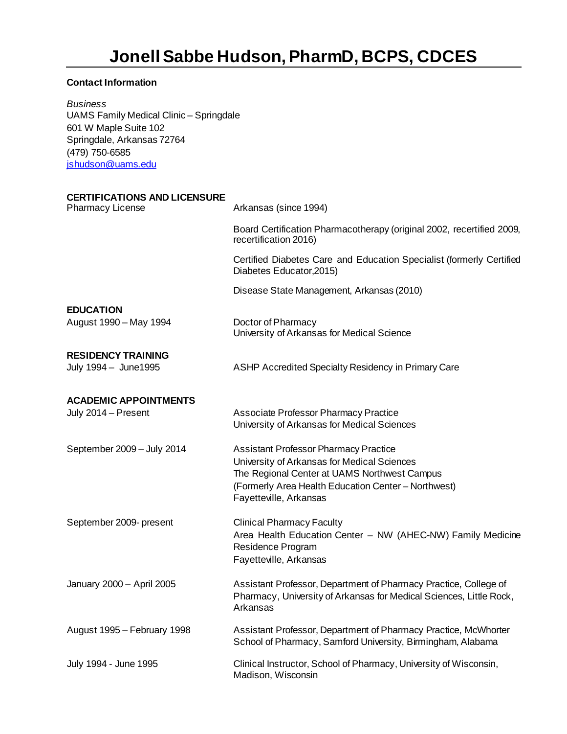# **Jonell Sabbe Hudson, PharmD, BCPS, CDCES**

## **Contact Information**

*Business*  UAMS Family Medical Clinic – Springdale 601 W Maple Suite 102 Springdale, Arkansas 72764 (479) 750-6585 [jshudson@uams.edu](mailto:jshudson@uams.edu)

| <b>CERTIFICATIONS AND LICENSURE</b><br><b>Pharmacy License</b> | Arkansas (since 1994)                                                                                                                                                                                                        |
|----------------------------------------------------------------|------------------------------------------------------------------------------------------------------------------------------------------------------------------------------------------------------------------------------|
|                                                                | Board Certification Pharmacotherapy (original 2002, recertified 2009,<br>recertification 2016)                                                                                                                               |
|                                                                | Certified Diabetes Care and Education Specialist (formerly Certified<br>Diabetes Educator, 2015)                                                                                                                             |
|                                                                | Disease State Management, Arkansas (2010)                                                                                                                                                                                    |
| <b>EDUCATION</b><br>August 1990 - May 1994                     | Doctor of Pharmacy<br>University of Arkansas for Medical Science                                                                                                                                                             |
| <b>RESIDENCY TRAINING</b><br>July 1994 - June1995              | ASHP Accredited Specialty Residency in Primary Care                                                                                                                                                                          |
| <b>ACADEMIC APPOINTMENTS</b>                                   |                                                                                                                                                                                                                              |
| July 2014 - Present                                            | Associate Professor Pharmacy Practice<br>University of Arkansas for Medical Sciences                                                                                                                                         |
| September 2009 - July 2014                                     | <b>Assistant Professor Pharmacy Practice</b><br>University of Arkansas for Medical Sciences<br>The Regional Center at UAMS Northwest Campus<br>(Formerly Area Health Education Center - Northwest)<br>Fayetteville, Arkansas |
| September 2009- present                                        | <b>Clinical Pharmacy Faculty</b><br>Area Health Education Center - NW (AHEC-NW) Family Medicine<br>Residence Program<br>Fayetteville, Arkansas                                                                               |
| January 2000 - April 2005                                      | Assistant Professor, Department of Pharmacy Practice, College of<br>Pharmacy, University of Arkansas for Medical Sciences, Little Rock,<br>Arkansas                                                                          |
| August 1995 - February 1998                                    | Assistant Professor, Department of Pharmacy Practice, McWhorter<br>School of Pharmacy, Samford University, Birmingham, Alabama                                                                                               |
| July 1994 - June 1995                                          | Clinical Instructor, School of Pharmacy, University of Wisconsin,<br>Madison, Wisconsin                                                                                                                                      |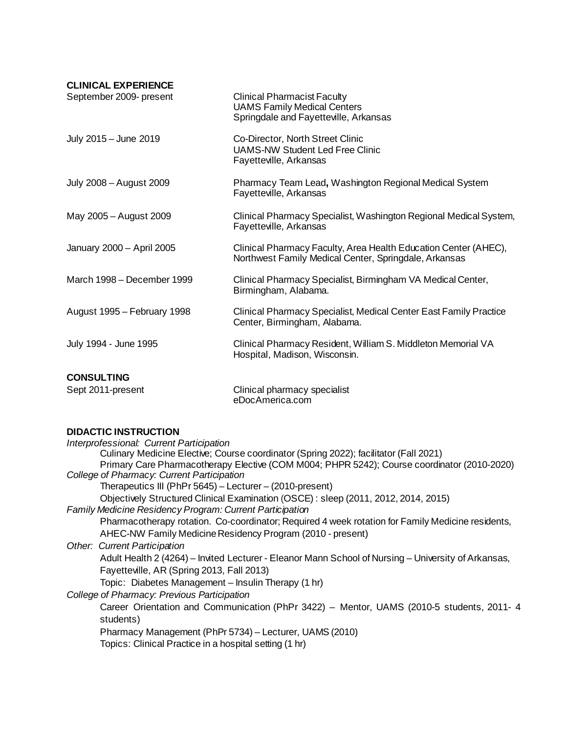#### **CLINICAL EXPERIENCE**

| September 2009- present     | <b>Clinical Pharmacist Faculty</b><br><b>UAMS Family Medical Centers</b><br>Springdale and Fayetteville, Arkansas        |
|-----------------------------|--------------------------------------------------------------------------------------------------------------------------|
| July 2015 - June 2019       | Co-Director, North Street Clinic<br><b>UAMS-NW Student Led Free Clinic</b><br>Fayetteville, Arkansas                     |
| July 2008 - August 2009     | Pharmacy Team Lead, Washington Regional Medical System<br>Fayetteville, Arkansas                                         |
| May 2005 - August 2009      | Clinical Pharmacy Specialist, Washington Regional Medical System,<br>Fayetteville, Arkansas                              |
| January 2000 - April 2005   | Clinical Pharmacy Faculty, Area Health Education Center (AHEC),<br>Northwest Family Medical Center, Springdale, Arkansas |
| March 1998 – December 1999  | Clinical Pharmacy Specialist, Birmingham VA Medical Center,<br>Birmingham, Alabama.                                      |
| August 1995 - February 1998 | Clinical Pharmacy Specialist, Medical Center East Family Practice<br>Center, Birmingham, Alabama.                        |
| July 1994 - June 1995       | Clinical Pharmacy Resident, William S. Middleton Memorial VA<br>Hospital, Madison, Wisconsin.                            |
| <b>CONSULTING</b>           |                                                                                                                          |
| Sept 2011-present           | Clinical pharmacy specialist<br>eDocAmerica.com                                                                          |

### **DIDACTIC INSTRUCTION**

| Interprofessional: Current Participation                                                            |
|-----------------------------------------------------------------------------------------------------|
| Culinary Medicine Elective; Course coordinator (Spring 2022); facilitator (Fall 2021)               |
| Primary Care Pharmacotherapy Elective (COM M004; PHPR 5242); Course coordinator (2010-2020)         |
| College of Pharmacy: Current Participation                                                          |
| Therapeutics III (PhPr 5645) - Lecturer - (2010-present)                                            |
| Objectively Structured Clinical Examination (OSCE): sleep (2011, 2012, 2014, 2015)                  |
| <b>Family Medicine Residency Program: Current Participation</b>                                     |
| Pharmacotherapy rotation. Co-coordinator; Required 4 week rotation for Family Medicine residents,   |
| AHEC-NW Family Medicine Residency Program (2010 - present)                                          |
| <b>Other: Current Participation</b>                                                                 |
| Adult Health 2 (4264) – Invited Lecturer - Eleanor Mann School of Nursing – University of Arkansas, |
| Fayetteville, AR (Spring 2013, Fall 2013)                                                           |
| Topic: Diabetes Management - Insulin Therapy (1 hr)                                                 |
| College of Pharmacy: Previous Participation                                                         |
| Career Orientation and Communication (PhPr 3422) - Mentor, UAMS (2010-5 students, 2011- 4           |
| students)                                                                                           |
| Pharmacy Management (PhPr 5734) – Lecturer, UAMS (2010)                                             |
| Topics: Clinical Practice in a hospital setting (1 hr)                                              |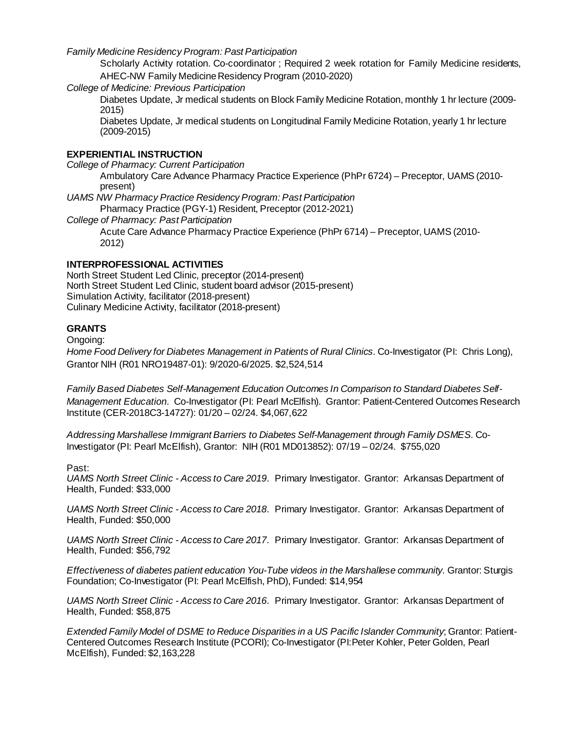*Family Medicine Residency Program: Past Participation* 

Scholarly Activity rotation. Co-coordinator ; Required 2 week rotation for Family Medicine residents, AHEC-NW Family Medicine Residency Program (2010-2020)

*College of Medicine: Previous Participation*

Diabetes Update, Jr medical students on Block Family Medicine Rotation, monthly 1 hr lecture (2009- 2015)

Diabetes Update, Jr medical students on Longitudinal Family Medicine Rotation, yearly 1 hr lecture (2009-2015)

#### **EXPERIENTIAL INSTRUCTION**

*College of Pharmacy: Current Participation*

Ambulatory Care Advance Pharmacy Practice Experience (PhPr 6724) – Preceptor, UAMS (2010 present)

*UAMS NW Pharmacy Practice Residency Program: Past Participation*

Pharmacy Practice (PGY-1) Resident, Preceptor (2012-2021)

*College of Pharmacy: Past Participation*

Acute Care Advance Pharmacy Practice Experience (PhPr 6714) – Preceptor, UAMS (2010- 2012)

#### **INTERPROFESSIONAL ACTIVITIES**

North Street Student Led Clinic, preceptor (2014-present) North Street Student Led Clinic, student board advisor (2015-present) Simulation Activity, facilitator (2018-present) Culinary Medicine Activity, facilitator (2018-present)

#### **GRANTS**

Ongoing:

*Home Food Delivery for Diabetes Management in Patients of Rural Clinics.* Co-Investigator (PI: Chris Long), Grantor NIH (R01 NRO19487-01): 9/2020-6/2025. \$2,524,514

*Family Based Diabetes Self-Management Education Outcomes In Comparison to Standard Diabetes Self-Management Education*. Co-Investigator (PI: Pearl McElfish). Grantor: Patient-Centered Outcomes Research Institute (CER-2018C3-14727): 01/20 – 02/24. \$4,067,622

*Addressing Marshallese Immigrant Barriers to Diabetes Self-Management through Family DSMES.* Co-Investigator (PI: Pearl McElfish), Grantor: NIH (R01 MD013852): 07/19 – 02/24. \$755,020

Past:

*UAMS North Street Clinic - Access to Care 2019*. Primary Investigator. Grantor: Arkansas Department of Health, Funded: \$33,000

*UAMS North Street Clinic - Access to Care 2018*. Primary Investigator. Grantor: Arkansas Department of Health, Funded: \$50,000

*UAMS North Street Clinic - Access to Care 2017*. Primary Investigator. Grantor: Arkansas Department of Health, Funded: \$56,792

*Effectiveness of diabetes patient education You-Tube videos in the Marshallese community*. Grantor: Sturgis Foundation; Co-Investigator (PI: Pearl McElfish, PhD), Funded: \$14,954

*UAMS North Street Clinic - Access to Care 2016*. Primary Investigator. Grantor: Arkansas Department of Health, Funded: \$58,875

*Extended Family Model of DSME to Reduce Disparities in a US Pacific Islander Community*; Grantor: Patient-Centered Outcomes Research Institute (PCORI); Co-Investigator (PI:Peter Kohler, Peter Golden, Pearl McElfish), Funded: \$2,163,228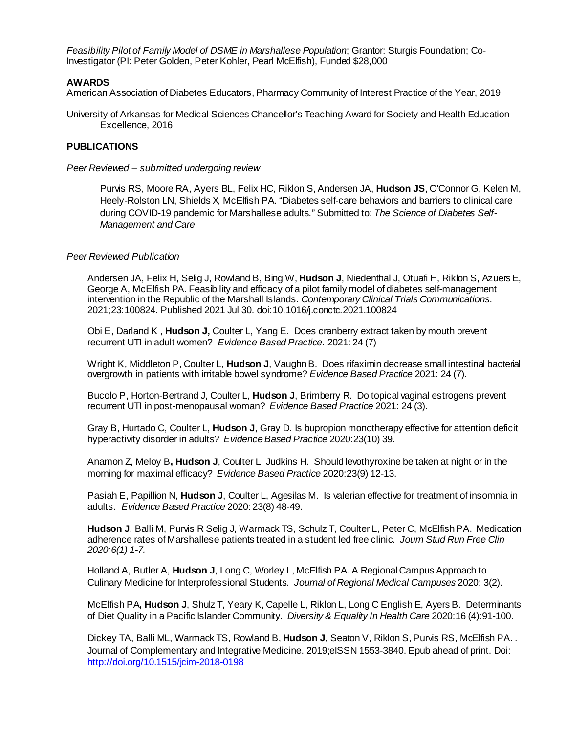*Feasibility Pilot of Family Model of DSME in Marshallese Population*; Grantor: Sturgis Foundation; Co-Investigator (PI: Peter Golden, Peter Kohler, Pearl McElfish), Funded \$28,000

#### **AWARDS**

American Association of Diabetes Educators, Pharmacy Community of Interest Practice of the Year, 2019

University of Arkansas for Medical Sciences Chancellor's Teaching Award for Society and Health Education Excellence, 2016

#### **PUBLICATIONS**

*Peer Reviewed – submitted undergoing review*

Purvis RS, Moore RA, Ayers BL, Felix HC, Riklon S, Andersen JA, **Hudson JS**, O'Connor G, Kelen M, Heely-Rolston LN, Shields X, McElfish PA. "Diabetes self-care behaviors and barriers to clinical care during COVID-19 pandemic for Marshallese adults." Submitted to: *The Science of Diabetes Self-Management and Care*.

#### *Peer Reviewed Publication*

Andersen JA, Felix H, Selig J, Rowland B, Bing W, **Hudson J**, Niedenthal J, Otuafi H, Riklon S, Azuers E, George A, McElfish PA. Feasibility and efficacy of a pilot family model of diabetes self-management intervention in the Republic of the Marshall Islands. *Contemporary Clinical Trials Communications*. 2021;23:100824. Published 2021 Jul 30. doi:10.1016/j.conctc.2021.100824

Obi E, Darland K , **Hudson J,** Coulter L, Yang E. Does cranberry extract taken by mouth prevent recurrent UTI in adult women? *Evidence Based Practice*. 2021: 24 (7)

Wright K, Middleton P, Coulter L, **Hudson J**, Vaughn B. Does rifaximin decrease small intestinal bacterial overgrowth in patients with irritable bowel syndrome? *Evidence Based Practice* 2021: 24 (7).

Bucolo P, Horton-Bertrand J, Coulter L, **Hudson J**, Brimberry R. Do topical vaginal estrogens prevent recurrent UTI in post-menopausal woman? *Evidence Based Practice* 2021: 24 (3).

Gray B, Hurtado C, Coulter L, **Hudson J**, Gray D. Is bupropion monotherapy effective for attention deficit hyperactivity disorder in adults? *Evidence Based Practice* 2020:23(10) 39.

Anamon Z, Meloy B**, Hudson J**, Coulter L, Judkins H. Should levothyroxine be taken at night or in the morning for maximal efficacy? *Evidence Based Practice* 2020:23(9) 12-13.

Pasiah E, Papillion N, **Hudson J**, Coulter L, Agesilas M. Is valerian effective for treatment of insomnia in adults. *Evidence Based Practice* 2020: 23(8) 48-49.

**Hudson J**, Balli M, Purvis R Selig J, Warmack TS, Schulz T, Coulter L, Peter C, McElfish PA. Medication adherence rates of Marshallese patients treated in a student led free clinic. *Journ Stud Run Free Clin 2020:6(1) 1-7.* 

Holland A, Butler A, **Hudson J**, Long C, Worley L, McElfish PA. A Regional Campus Approach to Culinary Medicine for Interprofessional Students. *Journal of Regional Medical Campuses* 2020: 3(2).

McElfish PA**, Hudson J**, Shulz T, Yeary K, Capelle L, Riklon L, Long C English E, Ayers B. Determinants of Diet Quality in a Pacific Islander Community. *Diversity & Equality In Health Care* 2020:16 (4):91-100.

Dickey TA, Balli ML, Warmack TS, Rowland B, **Hudson J**, Seaton V, Riklon S, Purvis RS, McElfish PA. . Journal of Complementary and Integrative Medicine. 2019;eISSN 1553-3840. Epub ahead of print. Doi: <http://doi.org/10.1515/jcim-2018-0198>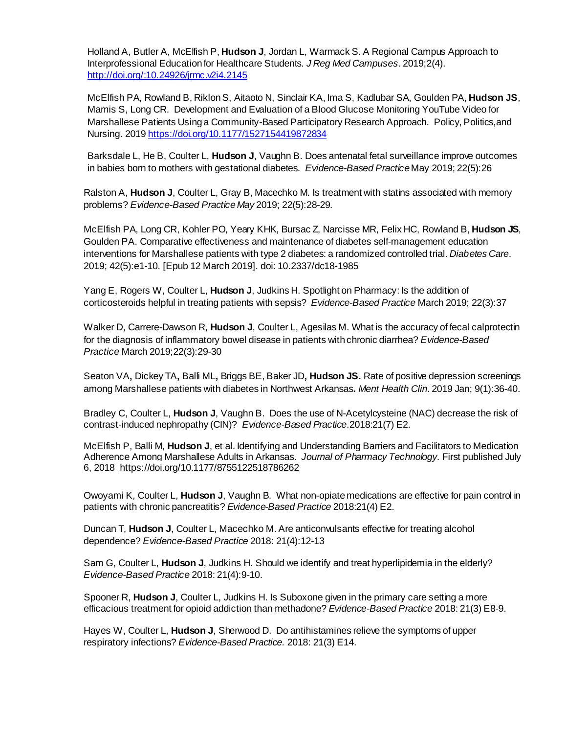Holland A, Butler A, McElfish P, **Hudson J**, Jordan L, Warmack S. A Regional Campus Approach to Interprofessional Education for Healthcare Students. *J Reg Med Campuses*. 2019;2(4). <http://doi.org/:10.24926/jrmc.v2i4.2145>

McElfish PA, Rowland B, Riklon S, Aitaoto N, Sinclair KA, Ima S, Kadlubar SA, Goulden PA, **Hudson JS**, Mamis S, Long CR. Development and Evaluation of a Blood Glucose Monitoring YouTube Video for Marshallese Patients Using a Community-Based Participatory Research Approach. Policy, Politics,and Nursing. 201[9 https://doi.org/10.1177/1527154419872834](https://doi.org/10.1177/1527154419872834)

Barksdale L, He B, Coulter L, **Hudson J**, Vaughn B. Does antenatal fetal surveillance improve outcomes in babies born to mothers with gestational diabetes. *Evidence-Based Practice* May 2019; 22(5):26

Ralston A, **Hudson J**, Coulter L, Gray B, Macechko M. Is treatment with statins associated with memory problems? *Evidence-Based Practice May* 2019; 22(5):28-29*.*

McElfish PA, Long CR, Kohler PO, Yeary KHK, Bursac Z, Narcisse MR, Felix HC, Rowland B, **Hudson JS**, Goulden PA. Comparative effectiveness and maintenance of diabetes self-management education interventions for Marshallese patients with type 2 diabetes: a randomized controlled trial. *Diabetes Care*. 2019; 42(5):e1-10. [Epub 12 March 2019]. doi: 10.2337/dc18-1985

Yang E, Rogers W, Coulter L, **Hudson J**, Judkins H. Spotlight on Pharmacy: Is the addition of corticosteroids helpful in treating patients with sepsis? *Evidence-Based Practice* March 2019; 22(3):37

Walker D, Carrere-Dawson R, **Hudson J**, Coulter L, Agesilas M. What is the accuracy of fecal calprotectin for the diagnosis of inflammatory bowel disease in patients with chronic diarrhea? *Evidence-Based Practice* March 2019;22(3):29-30

Seaton VA**,** Dickey TA**,** Balli ML**,** Briggs BE, Baker JD**, Hudson JS.** Rate of positive depression screenings among Marshallese patients with diabetes in Northwest Arkansas**.** *Ment Health Clin*. 2019 Jan; 9(1):36-40.

Bradley C, Coulter L, **Hudson J**, Vaughn B. Does the use of N-Acetylcysteine (NAC) decrease the risk of contrast-induced nephropathy (CIN)? *Evidence-Based Practice*.2018:21(7) E2.

McElfish P, Balli M, **Hudson J**, et al. Identifying and Understanding Barriers and Facilitators to Medication Adherence Among Marshallese Adults in Arkansas. *Journal of Pharmacy Technology*. First published July 6, 2018 [https://doi.org/10.1177/8755122518786262](https://doi.org/10.1177%2F8755122518786262)

Owoyami K, Coulter L, **Hudson J**, Vaughn B. What non-opiate medications are effective for pain control in patients with chronic pancreatitis? *Evidence-Based Practice* 2018:21(4) E2.

Duncan T, **Hudson J**, Coulter L, Macechko M. Are anticonvulsants effective for treating alcohol dependence? *Evidence-Based Practice* 2018: 21(4):12-13

Sam G, Coulter L, **Hudson J**, Judkins H. Should we identify and treat hyperlipidemia in the elderly? *Evidence-Based Practice* 2018: 21(4):9-10.

Spooner R, **Hudson J**, Coulter L, Judkins H. Is Suboxone given in the primary care setting a more efficacious treatment for opioid addiction than methadone? *Evidence-Based Practice* 2018: 21(3) E8-9.

Hayes W, Coulter L, **Hudson J**, Sherwood D. Do antihistamines relieve the symptoms of upper respiratory infections? *Evidence-Based Practice.* 2018: 21(3) E14.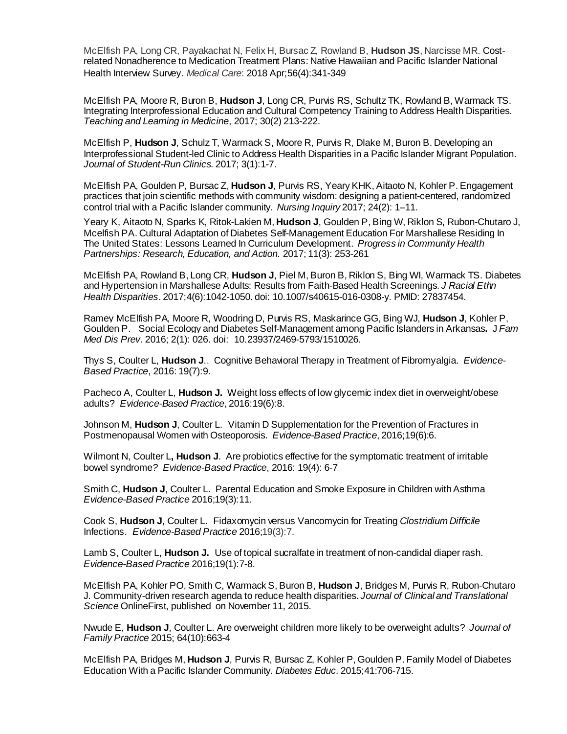McElfish PA, Long CR, Payakachat N, Felix H, Bursac Z, Rowland B, **Hudson JS**, Narcisse MR. Costrelated Nonadherence to Medication Treatment Plans: Native Hawaiian and Pacific Islander National Health Interview Survey. *Medical Care*: 2018 Apr;56(4):341-349

McElfish PA, Moore R, Buron B, **Hudson J**, Long CR, Purvis RS, Schultz TK, Rowland B, Warmack TS. Integrating Interprofessional Education and Cultural Competency Training to Address Health Disparities. *Teaching and Learning in Medicine*, 2017; 30(2) 213-222.

McElfish P, **Hudson J**, Schulz T, Warmack S, Moore R, Purvis R, Dlake M, Buron B. Developing an Interprofessional Student-led Clinic to Address Health Disparities in a Pacific Islander Migrant Population. *Journal of Student-Run Clinics.* 2017; 3(1):1-7.

McElfish PA, Goulden P, Bursac Z, **Hudson J**, Purvis RS, Yeary KHK, Aitaoto N, Kohler P. Engagement practices that join scientific methods with community wisdom: designing a patient-centered, randomized control trial with a Pacific Islander community. *Nursing Inquiry* 2017; 24(2): 1–11.

Yeary K, Aitaoto N, Sparks K, Ritok-Lakien M, **Hudson J**, Goulden P, Bing W, Riklon S, Rubon-Chutaro J, Mcelfish PA. Cultural Adaptation of Diabetes Self-Management Education For Marshallese Residing In The United States: Lessons Learned In Curriculum Development. *Progress in Community Health Partnerships: Research, Education, and Action.* 2017; 11(3): 253-261

McElfish PA, Rowland B, Long CR, **Hudson J**, Piel M, Buron B, Riklon S, Bing WI, Warmack TS. Diabetes and Hypertension in Marshallese Adults: Results from Faith-Based Health Screenings. *J Racial Ethn Health Disparities*. 2017;4(6):1042-1050. doi: 10.1007/s40615-016-0308-y. PMID: 27837454.

[Ramey McElfish PA, Moore R, Woodring D, Purvis RS, Maskarince GG, Bing WJ,](https://www.ncbi.nlm.nih.gov/pubmed/?term=Moore%20R%5BAuthor%5D&cauthor=true&cauthor_uid=28736764) **Hudson J**, Kohler P, [Goulden P.](https://www.ncbi.nlm.nih.gov/pubmed/?term=Moore%20R%5BAuthor%5D&cauthor=true&cauthor_uid=28736764) Social Ecology and Diabetes Self-Management among Pacific Islanders in Arkansas**.** J *[Fam](https://www.clinmedjournals.org/articles/jfmdp/journal-of-family-medicine-and-disease-prevention-jfmdp-2-026.php?jid=jfmdp)  Med Dis Prev*[. 2016; 2\(1\): 026.](https://www.clinmedjournals.org/articles/jfmdp/journal-of-family-medicine-and-disease-prevention-jfmdp-2-026.php?jid=jfmdp) doi: [10.23937/2469-5793/1510026](https://dx.doi.org/10.23937%2F2469-5793%2F1510026).

Thys S, Coulter L, **Hudson J**.. Cognitive Behavioral Therapy in Treatment of Fibromyalgia. *Evidence-Based Practice*, 2016: 19(7):9.

Pacheco A, Coulter L, **Hudson J.** Weight loss effects of low glycemic index diet in overweight/obese adults? *Evidence-Based Practice*, 2016:19(6):8.

Johnson M, **Hudson J**, Coulter L. Vitamin D Supplementation for the Prevention of Fractures in Postmenopausal Women with Osteoporosis. *Evidence-Based Practice*, 2016;19(6):6.

Wilmont N, Coulter L**, Hudson J**. Are probiotics effective for the symptomatic treatment of irritable bowel syndrome*? Evidence-Based Practice*, 2016: 19(4): 6-7

Smith C, **Hudson J**, Coulter L. Parental Education and Smoke Exposure in Children withAsthma *Evidence-Based Practice* 2016;19(3):11.

Cook S, **Hudson J**, Coulter L. Fidaxomycin versus Vancomycin for Treating *Clostridium Difficile* Infections. *Evidence-Based Practice* 2016;19(3):7.

Lamb S, Coulter L, **Hudson J.** Use of topical sucralfate in treatment of non-candidal diaper rash. *Evidence-Based Practice* 2016;19(1):7-8.

McElfish PA, Kohler PO, Smith C, Warmack S, Buron B, **Hudson J**, Bridges M, Purvis R, Rubon-Chutaro J. Community-driven research agenda to reduce health disparities. *Journal of Clinical and Translational Science* OnlineFirst, published on November 11, 2015.

Nwude E, **Hudson J**, Coulter L. Are overweight children more likely to be overweight adults? *Journal of Family Practice* 2015; 64(10):663-4

McElfish PA, Bridges M, **Hudson J**, Purvis R, Bursac Z, Kohler P, Goulden P. Family Model of Diabetes Education With a Pacific Islander Community. *Diabetes Educ.* 2015;41:706-715.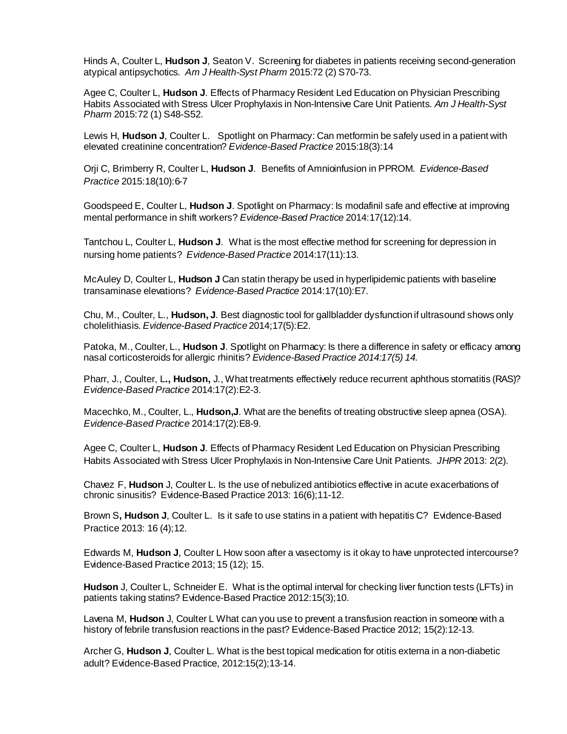Hinds A, Coulter L, **Hudson J**, Seaton V. Screening for diabetes in patients receiving second-generation atypical antipsychotics. *Am J Health-Syst Pharm* 2015:72 (2) S70-73.

Agee C, Coulter L, **Hudson J**. Effects of Pharmacy Resident Led Education on Physician Prescribing Habits Associated with Stress Ulcer Prophylaxis in Non-Intensive Care Unit Patients. *Am J Health-Syst Pharm* 2015:72 (1) S48-S52.

Lewis H, **Hudson J**, Coulter L. Spotlight on Pharmacy: Can metformin be safely used in a patient with elevated creatinine concentration? *Evidence-Based Practice* 2015:18(3):14

Orji C, Brimberry R, Coulter L, **Hudson J**. Benefits of Amnioinfusion in PPROM. *Evidence-Based Practice* 2015:18(10):6-7

Goodspeed E, Coulter L, **Hudson J**. Spotlight on Pharmacy: Is modafinil safe and effective at improving mental performance in shift workers? *Evidence-Based Practice* 2014:17(12):14.

Tantchou L, Coulter L, **Hudson J**. What is the most effective method for screening for depression in nursing home patients? *Evidence-Based Practice* 2014:17(11):13.

McAuley D, Coulter L, **Hudson J** Can statin therapy be used in hyperlipidemic patients with baseline transaminase elevations? *Evidence-Based Practice* 2014:17(10):E7.

Chu, M., Coulter, L., **Hudson, J**. Best diagnostic tool for gallbladder dysfunction if ultrasound shows only cholelithiasis. *Evidence-Based Practice*2014;17(5):E2.

Patoka, M., Coulter, L., **Hudson J**. Spotlight on Pharmacy: Is there a difference in safety or efficacy among nasal corticosteroids for allergic rhinitis? *Evidence-Based Practice 2014:17(5) 14.* 

Pharr, J., Coulter, L**., Hudson,** J., What treatments effectively reduce recurrent aphthous stomatitis (RAS)? *Evidence-Based Practice* 2014:17(2):E2-3.

Macechko, M., Coulter, L., **Hudson,J**. What are the benefits of treating obstructive sleep apnea (OSA). *Evidence-Based Practice* 2014:17(2):E8-9.

Agee C, Coulter L, **Hudson J**. Effects of Pharmacy Resident Led Education on Physician Prescribing Habits Associated with Stress Ulcer Prophylaxis in Non-Intensive Care Unit Patients. *JHPR* 2013: 2(2).

Chavez F, **Hudson** J, Coulter L. Is the use of nebulized antibiotics effective in acute exacerbations of chronic sinusitis? Evidence-Based Practice 2013: 16(6);11-12.

Brown S**, Hudson J**, Coulter L. Is it safe to use statins in a patient with hepatitis C? Evidence-Based Practice 2013: 16 (4);12.

Edwards M, **Hudson J**, Coulter L How soon after a vasectomy is it okay to have unprotected intercourse? Evidence-Based Practice 2013; 15 (12); 15.

**Hudson** J, Coulter L, Schneider E. What is the optimal interval for checking liver function tests (LFTs) in patients taking statins? Evidence-Based Practice 2012:15(3);10.

Lavena M, **Hudson** J, Coulter L What can you use to prevent a transfusion reaction in someone with a history of febrile transfusion reactions in the past? Evidence-Based Practice 2012; 15(2):12-13.

Archer G, **Hudson J**, Coulter L. What is the best topical medication for otitis externa in a non-diabetic adult? Evidence-Based Practice, 2012:15(2);13-14.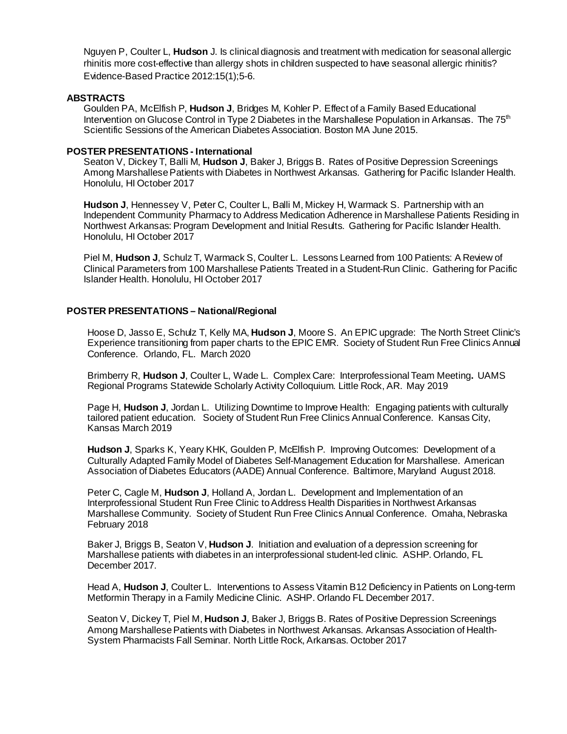Nguyen P, Coulter L, **Hudson** J. Is clinical diagnosis and treatment with medication for seasonal allergic rhinitis more cost-effective than allergy shots in children suspected to have seasonal allergic rhinitis? Evidence-Based Practice 2012:15(1);5-6.

#### **ABSTRACTS**

Goulden PA, McElfish P, **Hudson J**, Bridges M, Kohler P*.* Effect of a Family Based Educational Intervention on Glucose Control in Type 2 Diabetes in the Marshallese Population in Arkansas. The  $75<sup>th</sup>$ Scientific Sessions of the American Diabetes Association. Boston MA June 2015.

#### **POSTER PRESENTATIONS - International**

Seaton V, Dickey T, Balli M, **Hudson J**, Baker J, Briggs B. Rates of Positive Depression Screenings Among MarshallesePatients with Diabetes in Northwest Arkansas. Gathering for Pacific Islander Health. Honolulu, HI October 2017

**Hudson J**, Hennessey V, Peter C, Coulter L, Balli M, Mickey H, Warmack S. Partnership with an Independent Community Pharmacy to Address Medication Adherence in Marshallese Patients Residing in Northwest Arkansas: Program Development and Initial Results. Gathering for Pacific Islander Health. Honolulu, HI October 2017

Piel M, **Hudson J**, Schulz T, Warmack S, Coulter L. Lessons Learned from 100 Patients: A Review of Clinical Parameters from 100 Marshallese Patients Treated in a Student-Run Clinic. Gathering for Pacific Islander Health. Honolulu, HI October 2017

#### **POSTER PRESENTATIONS – National/Regional**

Hoose D, Jasso E, Schulz T, Kelly MA, **Hudson J**, Moore S. An EPIC upgrade: The North Street Clinic's Experience transitioning from paper charts to the EPIC EMR. Society of Student Run Free Clinics Annual Conference. Orlando, FL. March 2020

Brimberry R, **Hudson J**, Coulter L, Wade L. Complex Care: Interprofessional Team Meeting**.** UAMS Regional Programs Statewide Scholarly Activity Colloquium. Little Rock, AR. May 2019

Page H, **Hudson J**, Jordan L. Utilizing Downtime to Improve Health: Engaging patients with culturally tailored patient education. Society of Student Run Free Clinics Annual Conference. Kansas City, Kansas March 2019

**Hudson J**, Sparks K, Yeary KHK, Goulden P, McElfish P. Improving Outcomes: Development of a Culturally Adapted Family Model of Diabetes Self-Management Education for Marshallese. American Association of Diabetes Educators (AADE) Annual Conference. Baltimore, Maryland August 2018.

Peter C, Cagle M, **Hudson J**, Holland A, Jordan L. Development and Implementation of an Interprofessional Student Run Free Clinic to Address Health Disparities in Northwest Arkansas Marshallese Community. Society of Student Run Free Clinics Annual Conference. Omaha, Nebraska February 2018

Baker J, Briggs B, Seaton V, **Hudson J**. Initiation and evaluation of a depression screening for Marshallese patients with diabetes in an interprofessional student-led clinic. ASHP. Orlando, FL December 2017.

Head A, Hudson J, Coulter L. Interventions to Assess Vitamin B12 Deficiency in Patients on Long-term Metformin Therapy in a Family Medicine Clinic. ASHP. Orlando FL December 2017.

Seaton V, Dickey T, Piel M, **Hudson J**, Baker J, Briggs B. Rates of Positive Depression Screenings Among Marshallese Patients with Diabetes in Northwest Arkansas. Arkansas Association of Health-System Pharmacists Fall Seminar. North Little Rock, Arkansas. October 2017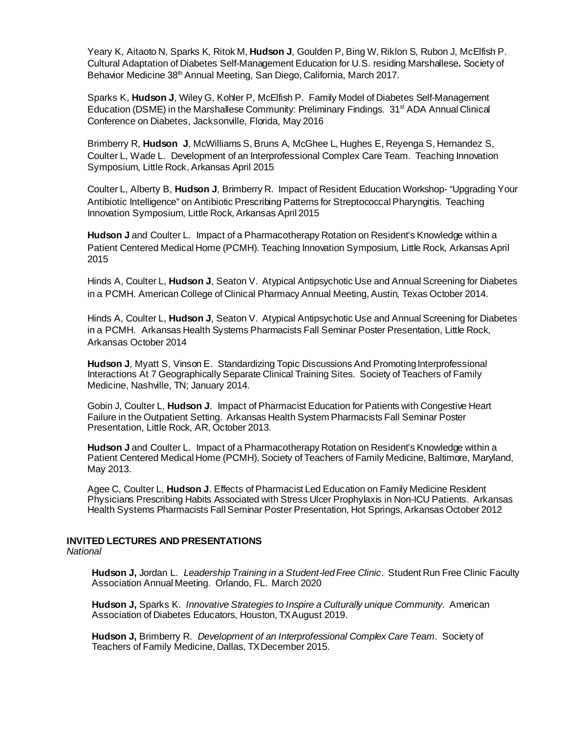Yeary K, Aitaoto N, Sparks K, Ritok M, **Hudson J**, Goulden P, Bing W, Riklon S, Rubon J, McElfish P. Cultural Adaptation of Diabetes Self-Management Education for U.S. residing Marshallese**.** Society of Behavior Medicine 38<sup>th</sup> Annual Meeting, San Diego, California, March 2017.

Sparks K, **Hudson J**, Wiley G, Kohler P, McElfish P. Family Model of Diabetes Self-Management Education (DSME) in the Marshallese Community: Preliminary Findings. 31<sup>st</sup> ADA Annual Clinical Conference on Diabetes, Jacksonville, Florida, May 2016

Brimberry R, **Hudson J**, McWilliams S, Bruns A, McGhee L, Hughes E, Reyenga S, Hernandez S, Coulter L, Wade L. Development of an Interprofessional Complex Care Team. Teaching Innovation Symposium, Little Rock, Arkansas April 2015

Coulter L, Alberty B, **Hudson J**, Brimberry R. Impact of Resident Education Workshop- "Upgrading Your Antibiotic Intelligence" on Antibiotic Prescribing Patterns for Streptococcal Pharyngitis. Teaching Innovation Symposium, Little Rock, Arkansas April 2015

**Hudson J** and Coulter L. Impact of a Pharmacotherapy Rotation on Resident's Knowledge within a Patient Centered Medical Home (PCMH). Teaching Innovation Symposium, Little Rock, Arkansas April 2015

Hinds A, Coulter L, **Hudson J**, Seaton V. Atypical Antipsychotic Use and Annual Screening for Diabetes in a PCMH. American College of Clinical Pharmacy Annual Meeting, Austin, Texas October 2014.

Hinds A, Coulter L, **Hudson J**, Seaton V. Atypical Antipsychotic Use and Annual Screening for Diabetes in a PCMH. Arkansas Health Systems Pharmacists Fall Seminar Poster Presentation, Little Rock, Arkansas October 2014

**Hudson J**, Myatt S, Vinson E. Standardizing Topic Discussions And Promoting Interprofessional Interactions At 7 Geographically Separate Clinical Training Sites. Society of Teachers of Family Medicine, Nashville, TN; January 2014.

Gobin J, Coulter L, **Hudson J**. Impact of Pharmacist Education for Patients with Congestive Heart Failure in the Outpatient Setting. Arkansas Health System Pharmacists Fall Seminar Poster Presentation, Little Rock, AR, October 2013.

**Hudson J** and Coulter L. Impact of a Pharmacotherapy Rotation on Resident's Knowledge within a Patient Centered Medical Home (PCMH). Society of Teachers of Family Medicine, Baltimore, Maryland, May 2013.

Agee C, Coulter L, **Hudson J**. Effects of Pharmacist Led Education on Family Medicine Resident Physicians Prescribing Habits Associated with Stress Ulcer Prophylaxis in Non-ICU Patients. Arkansas Health Systems Pharmacists Fall Seminar Poster Presentation, Hot Springs, Arkansas October 2012

# **INVITED LECTURES AND PRESENTATIONS**

*National*

**Hudson J,** Jordan L. *Leadership Training in a Student-led Free Clinic*. Student Run Free Clinic Faculty Association Annual Meeting. Orlando, FL. March 2020

**Hudson J,** Sparks K. *Innovative Strategies to Inspire a Culturally unique Community*. American Association of Diabetes Educators, Houston, TXAugust 2019.

**Hudson J,** Brimberry R. *Development of an Interprofessional Complex Care Team*. Society of Teachers of Family Medicine, Dallas, TX December 2015.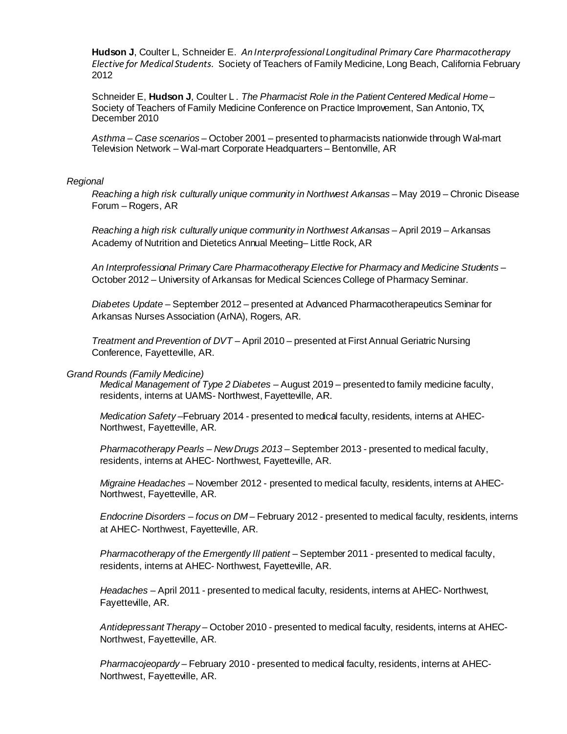**Hudson J**, Coulter L, Schneider E. *An Interprofessional Longitudinal Primary Care Pharmacotherapy Elective for Medical Students*. Society of Teachers of Family Medicine, Long Beach, California February 2012

Schneider E, **Hudson J**, Coulter L *. The Pharmacist Role in the Patient Centered Medical Home –* Society of Teachers of Family Medicine Conference on Practice Improvement, San Antonio, TX, December 2010

*Asthma – Case scenarios –* October 2001 – presented to pharmacists nationwide through Wal-mart Television Network – Wal-mart Corporate Headquarters – Bentonville, AR

#### *Regional*

*Reaching a high risk culturally unique community in Northwest Arkansas* – May 2019 – Chronic Disease Forum – Rogers, AR

*Reaching a high risk culturally unique community in Northwest Arkansas* – April 2019 – Arkansas Academy of Nutrition and Dietetics Annual Meeting– Little Rock, AR

*An Interprofessional Primary Care Pharmacotherapy Elective for Pharmacy and Medicine Students –* October 2012 – University of Arkansas for Medical Sciences College of Pharmacy Seminar.

*Diabetes Update –* September 2012 – presented at Advanced Pharmacotherapeutics Seminar for Arkansas Nurses Association (ArNA), Rogers, AR.

*Treatment and Prevention of DVT –* April 2010 – presented at First Annual Geriatric Nursing Conference, Fayetteville, AR.

#### *Grand Rounds (Family Medicine)*

*Medical Management of Type 2 Diabetes –* August 2019 – presented to family medicine faculty, residents, interns at UAMS- Northwest, Fayetteville, AR.

*Medication Safety –*February 2014 - presented to medical faculty, residents, interns at AHEC-Northwest, Fayetteville, AR.

*Pharmacotherapy Pearls – New Drugs 2013 –* September 2013 - presented to medical faculty, residents, interns at AHEC- Northwest, Fayetteville, AR.

*Migraine Headaches –* November 2012 - presented to medical faculty, residents, interns at AHEC-Northwest, Fayetteville, AR.

*Endocrine Disorders – focus on DM –* February 2012 - presented to medical faculty, residents, interns at AHEC- Northwest, Fayetteville, AR.

*Pharmacotherapy of the Emergently Ill patient –* September 2011 *-* presented to medical faculty, residents, interns at AHEC- Northwest, Fayetteville, AR.

*Headaches –* April 2011 - presented to medical faculty, residents, interns at AHEC- Northwest, Fayetteville, AR.

*Antidepressant Therapy –* October 2010 - presented to medical faculty, residents, interns at AHEC-Northwest, Fayetteville, AR.

*Pharmacojeopardy –* February 2010 - presented to medical faculty, residents, interns at AHEC-Northwest, Fayetteville, AR.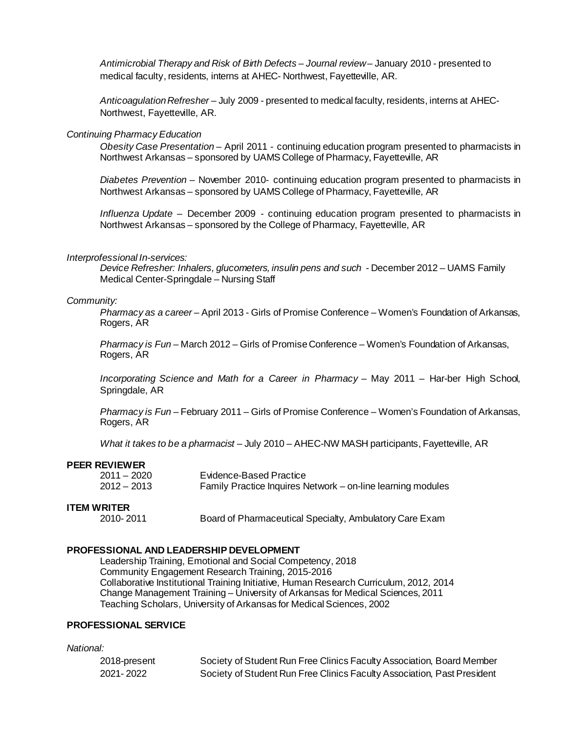*Antimicrobial Therapy and Risk of Birth Defects – Journal review –* January 2010 - presented to medical faculty, residents, interns at AHEC- Northwest, Fayetteville, AR.

*Anticoagulation Refresher* – July 2009 - presented to medical faculty, residents, interns at AHEC-Northwest, Fayetteville, AR.

#### *Continuing Pharmacy Education*

*Obesity Case Presentation* – April 2011 - continuing education program presented to pharmacists in Northwest Arkansas – sponsored by UAMS College of Pharmacy, Fayetteville, AR

*Diabetes Prevention –* November 2010- continuing education program presented to pharmacists in Northwest Arkansas – sponsored by UAMS College of Pharmacy, Fayetteville, AR

*Influenza Update –* December 2009 - continuing education program presented to pharmacists in Northwest Arkansas – sponsored by the College of Pharmacy, Fayetteville, AR

#### *Interprofessional In-services:*

*Device Refresher: Inhalers, glucometers, insulin pens and such -* December 2012 – UAMS Family Medical Center-Springdale – Nursing Staff

#### *Community:*

*Pharmacy as a career –* April 2013 - Girls of Promise Conference – Women's Foundation of Arkansas, Rogers, AR

*Pharmacy is Fun* – March 2012 – Girls of Promise Conference – Women's Foundation of Arkansas, Rogers, AR

*Incorporating Science and Math for a Career in Pharmacy –* May 2011 – Har-ber High School, Springdale, AR

*Pharmacy is Fun* – February 2011 – Girls of Promise Conference – Women's Foundation of Arkansas, Rogers, AR

*What it takes to be a pharmacist –* July 2010 – AHEC-NW MASH participants, Fayetteville, AR

#### **PEER REVIEWER**

| $2011 - 2020$ | Evidence-Based Practice                                     |
|---------------|-------------------------------------------------------------|
| $2012 - 2013$ | Family Practice Inquires Network – on-line learning modules |

#### **ITEM WRITER**

2010- 2011 Board of Pharmaceutical Specialty, Ambulatory Care Exam

#### **PROFESSIONAL AND LEADERSHIP DEVELOPMENT**

Leadership Training, Emotional and Social Competency, 2018 Community Engagement Research Training, 2015-2016 Collaborative Institutional Training Initiative, Human Research Curriculum, 2012, 2014 Change Management Training – University of Arkansas for Medical Sciences, 2011 Teaching Scholars, University of Arkansas for Medical Sciences, 2002

#### **PROFESSIONAL SERVICE**

#### *National:*

2018-present Society of Student Run Free Clinics Faculty Association, Board Member 2021- 2022 Society of Student Run Free Clinics Faculty Association, Past President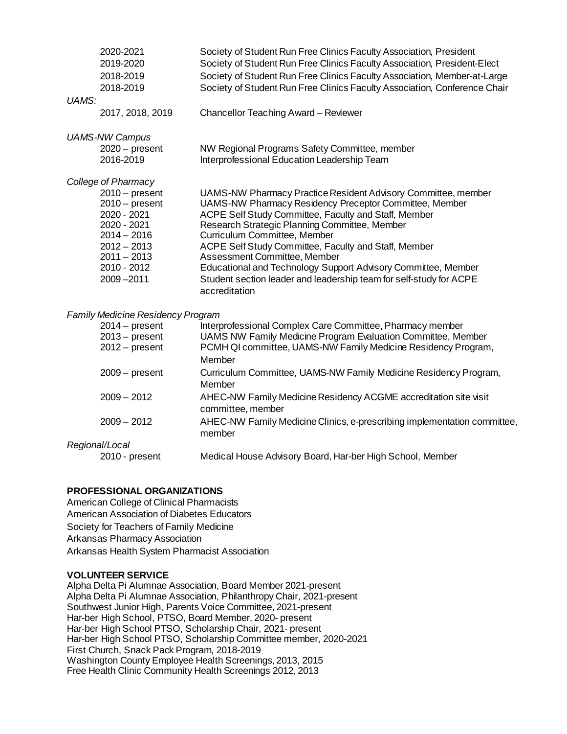| UAMS: | 2020-2021<br>2019-2020<br>2018-2019<br>2018-2019                                                                                                                             | Society of Student Run Free Clinics Faculty Association, President<br>Society of Student Run Free Clinics Faculty Association, President-Elect<br>Society of Student Run Free Clinics Faculty Association, Member-at-Large<br>Society of Student Run Free Clinics Faculty Association, Conference Chair                                                                                                                                                                                                          |
|-------|------------------------------------------------------------------------------------------------------------------------------------------------------------------------------|------------------------------------------------------------------------------------------------------------------------------------------------------------------------------------------------------------------------------------------------------------------------------------------------------------------------------------------------------------------------------------------------------------------------------------------------------------------------------------------------------------------|
|       | 2017, 2018, 2019                                                                                                                                                             | Chancellor Teaching Award - Reviewer                                                                                                                                                                                                                                                                                                                                                                                                                                                                             |
|       | <b>UAMS-NW Campus</b><br>$2020 - present$<br>2016-2019                                                                                                                       | NW Regional Programs Safety Committee, member<br>Interprofessional Education Leadership Team                                                                                                                                                                                                                                                                                                                                                                                                                     |
|       | College of Pharmacy<br>$2010 - present$<br>$2010 - present$<br>2020 - 2021<br>2020 - 2021<br>$2014 - 2016$<br>$2012 - 2013$<br>$2011 - 2013$<br>2010 - 2012<br>$2009 - 2011$ | UAMS-NW Pharmacy Practice Resident Advisory Committee, member<br>UAMS-NW Pharmacy Residency Preceptor Committee, Member<br>ACPE Self Study Committee, Faculty and Staff, Member<br>Research Strategic Planning Committee, Member<br>Curriculum Committee, Member<br>ACPE Self Study Committee, Faculty and Staff, Member<br>Assessment Committee, Member<br>Educational and Technology Support Advisory Committee, Member<br>Student section leader and leadership team for self-study for ACPE<br>accreditation |

#### *Family Medicine Residency Program*

| $2014 - present$ | Interprofessional Complex Care Committee, Pharmacy member                |
|------------------|--------------------------------------------------------------------------|
| $2013 - present$ | UAMS NW Family Medicine Program Evaluation Committee, Member             |
| $2012 - present$ | PCMH QI committee, UAMS-NW Family Medicine Residency Program,            |
|                  | Member                                                                   |
| $2009 - present$ | Curriculum Committee, UAMS-NW Family Medicine Residency Program,         |
|                  | Member                                                                   |
| $2009 - 2012$    | AHEC-NW Family Medicine Residency ACGME accreditation site visit         |
|                  | committee, member                                                        |
| $2009 - 2012$    | AHEC-NW Family Medicine Clinics, e-prescribing implementation committee, |
|                  | member                                                                   |
| Regional/Local   |                                                                          |
|                  |                                                                          |
| 2010 - present   | Medical House Advisory Board, Har-ber High School, Member                |

#### **PROFESSIONAL ORGANIZATIONS**

American College of Clinical Pharmacists American Association of Diabetes Educators Society for Teachers of Family Medicine Arkansas Pharmacy Association Arkansas Health System Pharmacist Association

#### **VOLUNTEER SERVICE**

Alpha Delta Pi Alumnae Association, Board Member 2021-present Alpha Delta Pi Alumnae Association, Philanthropy Chair, 2021-present Southwest Junior High, Parents Voice Committee, 2021-present Har-ber High School, PTSO, Board Member, 2020- present Har-ber High School PTSO, Scholarship Chair, 2021- present Har-ber High School PTSO, Scholarship Committee member, 2020-2021 First Church, Snack Pack Program, 2018-2019 Washington County Employee Health Screenings, 2013, 2015 Free Health Clinic Community Health Screenings 2012, 2013